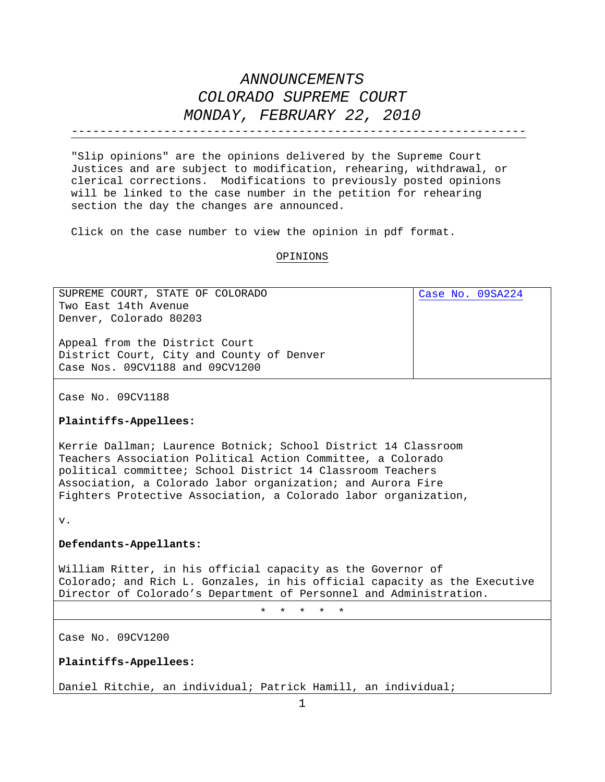----------------------------------------------------------------

"Slip opinions" are the opinions delivered by the Supreme Court Justices and are subject to modification, rehearing, withdrawal, or clerical corrections. Modifications to previously posted opinions will be linked to the case number in the petition for rehearing section the day the changes are announced.

Click on the case number to view the opinion in pdf format.

#### OPINIONS

| SUPREME COURT, STATE OF COLORADO                                          | Case No. 09SA224 |
|---------------------------------------------------------------------------|------------------|
| Two East 14th Avenue                                                      |                  |
| Denver, Colorado 80203                                                    |                  |
|                                                                           |                  |
| Appeal from the District Court                                            |                  |
| District Court, City and County of Denver                                 |                  |
| Case Nos. 09CV1188 and 09CV1200                                           |                  |
|                                                                           |                  |
|                                                                           |                  |
| Case No. 09CV1188                                                         |                  |
|                                                                           |                  |
| Plaintiffs-Appellees:                                                     |                  |
|                                                                           |                  |
| Kerrie Dallman; Laurence Botnick; School District 14 Classroom            |                  |
| Teachers Association Political Action Committee, a Colorado               |                  |
| political committee; School District 14 Classroom Teachers                |                  |
| Association, a Colorado labor organization; and Aurora Fire               |                  |
| Fighters Protective Association, a Colorado labor organization,           |                  |
|                                                                           |                  |
|                                                                           |                  |
| $V$ .                                                                     |                  |
|                                                                           |                  |
| Defendants-Appellants:                                                    |                  |
|                                                                           |                  |
| William Ritter, in his official capacity as the Governor of               |                  |
| Colorado; and Rich L. Gonzales, in his official capacity as the Executive |                  |
| Director of Colorado's Department of Personnel and Administration.        |                  |
| $\star$<br>$\star$<br>$\star$<br>$\star$<br>$\star$                       |                  |
|                                                                           |                  |
|                                                                           |                  |
| Case No. 09CV1200                                                         |                  |
|                                                                           |                  |
| Plaintiffs-Appellees:                                                     |                  |

Daniel Ritchie, an individual; Patrick Hamill, an individual;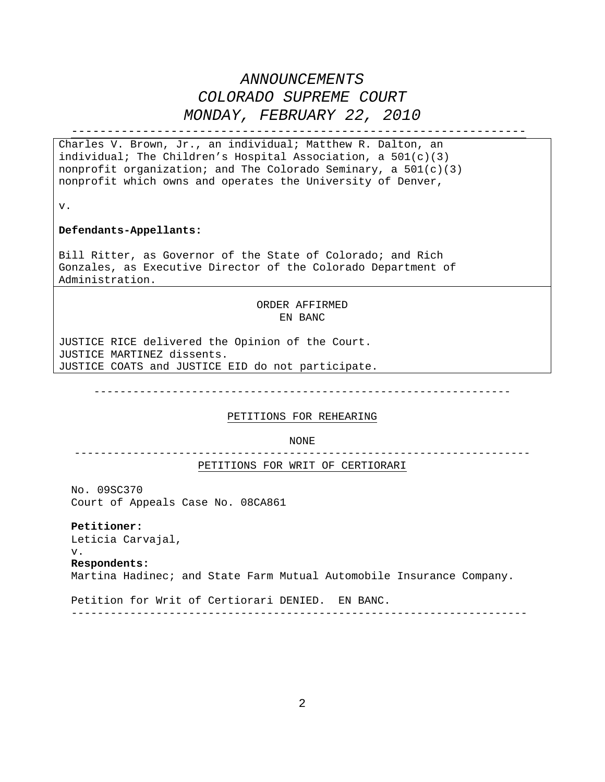----------------------------------------------------------------

Charles V. Brown, Jr., an individual; Matthew R. Dalton, an individual; The Children's Hospital Association, a 501(c)(3) nonprofit organization; and The Colorado Seminary, a  $501(c)(3)$ nonprofit which owns and operates the University of Denver,

v.

#### **Defendants-Appellants:**

Bill Ritter, as Governor of the State of Colorado; and Rich Gonzales, as Executive Director of the Colorado Department of Administration.

> ORDER AFFIRMED EN BANC

JUSTICE RICE delivered the Opinion of the Court. JUSTICE MARTINEZ dissents. JUSTICE COATS and JUSTICE EID do not participate.

----------------------------------------------------------------

### PETITIONS FOR REHEARING

NONE

---------------------------------------------------------------------- PETITIONS FOR WRIT OF CERTIORARI

No. 09SC370 Court of Appeals Case No. 08CA861

**Petitioner:**  Leticia Carvajal, v. **Respondents:**  Martina Hadinec; and State Farm Mutual Automobile Insurance Company.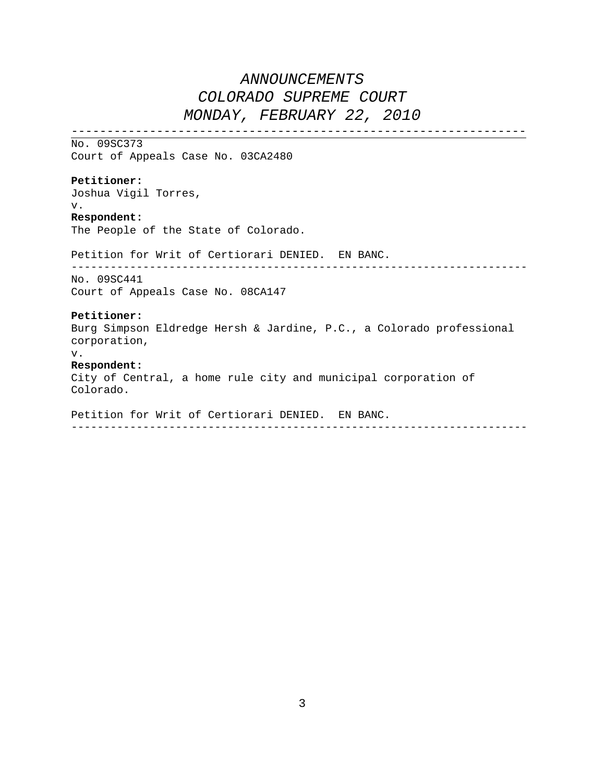----------------------------------------------------------------

No. 09SC373 Court of Appeals Case No. 03CA2480

### **Petitioner:**

Joshua Vigil Torres, v.

### **Respondent:**

The People of the State of Colorado.

Petition for Writ of Certiorari DENIED. EN BANC.

----------------------------------------------------------------------

No. 09SC441 Court of Appeals Case No. 08CA147

### **Petitioner:**

Burg Simpson Eldredge Hersh & Jardine, P.C., a Colorado professional corporation,

v.

### **Respondent:**

City of Central, a home rule city and municipal corporation of Colorado.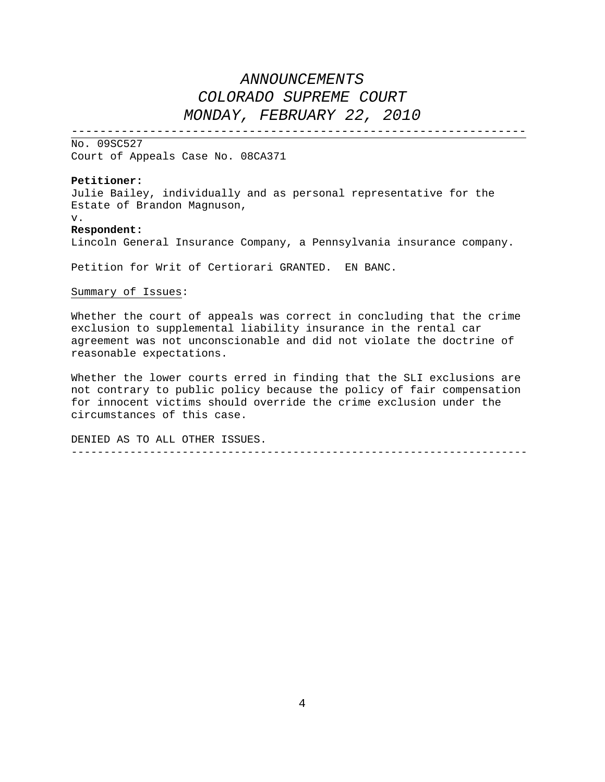----------------------------------------------------------------

No. 09SC527 Court of Appeals Case No. 08CA371

#### **Petitioner:**

Julie Bailey, individually and as personal representative for the Estate of Brandon Magnuson,

v.

#### **Respondent:**

Lincoln General Insurance Company, a Pennsylvania insurance company.

Petition for Writ of Certiorari GRANTED. EN BANC.

### Summary of Issues:

Whether the court of appeals was correct in concluding that the crime exclusion to supplemental liability insurance in the rental car agreement was not unconscionable and did not violate the doctrine of reasonable expectations.

Whether the lower courts erred in finding that the SLI exclusions are not contrary to public policy because the policy of fair compensation for innocent victims should override the crime exclusion under the circumstances of this case.

DENIED AS TO ALL OTHER ISSUES. ----------------------------------------------------------------------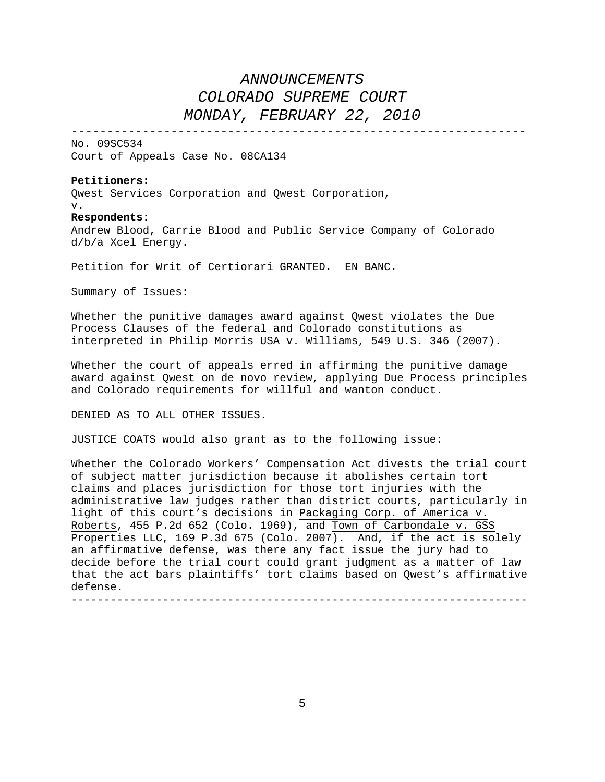----------------------------------------------------------------

No. 09SC534 Court of Appeals Case No. 08CA134

#### **Petitioners:**

Qwest Services Corporation and Qwest Corporation, v.

#### **Respondents:**

Andrew Blood, Carrie Blood and Public Service Company of Colorado d/b/a Xcel Energy.

Petition for Writ of Certiorari GRANTED. EN BANC.

### Summary of Issues:

Whether the punitive damages award against Qwest violates the Due Process Clauses of the federal and Colorado constitutions as interpreted in Philip Morris USA v. Williams, 549 U.S. 346 (2007).

Whether the court of appeals erred in affirming the punitive damage award against Qwest on de novo review, applying Due Process principles and Colorado requirements for willful and wanton conduct.

DENIED AS TO ALL OTHER ISSUES.

JUSTICE COATS would also grant as to the following issue:

Whether the Colorado Workers' Compensation Act divests the trial court of subject matter jurisdiction because it abolishes certain tort claims and places jurisdiction for those tort injuries with the administrative law judges rather than district courts, particularly in light of this court's decisions in Packaging Corp. of America v. Roberts, 455 P.2d 652 (Colo. 1969), and Town of Carbondale v. GSS Properties LLC, 169 P.3d 675 (Colo. 2007). And, if the act is solely an affirmative defense, was there any fact issue the jury had to decide before the trial court could grant judgment as a matter of law that the act bars plaintiffs' tort claims based on Qwest's affirmative defense.

----------------------------------------------------------------------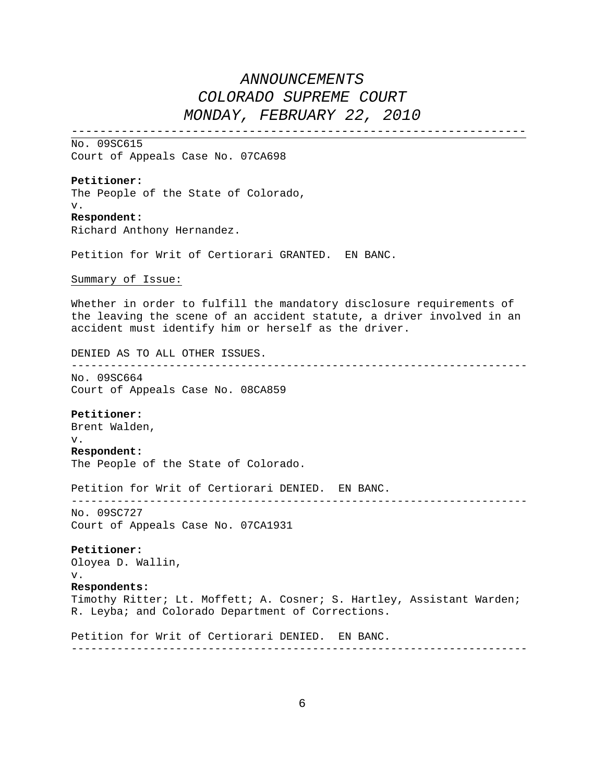----------------------------------------------------------------

No. 09SC615 Court of Appeals Case No. 07CA698

### **Petitioner:**

The People of the State of Colorado, v.

### **Respondent:**

Richard Anthony Hernandez.

Petition for Writ of Certiorari GRANTED. EN BANC.

### Summary of Issue:

Whether in order to fulfill the mandatory disclosure requirements of the leaving the scene of an accident statute, a driver involved in an accident must identify him or herself as the driver.

DENIED AS TO ALL OTHER ISSUES.

----------------------------------------------------------------------

No. 09SC664 Court of Appeals Case No. 08CA859

#### **Petitioner:**

Brent Walden, v.

### **Respondent:**

The People of the State of Colorado.

Petition for Writ of Certiorari DENIED. EN BANC.

No. 09SC727 Court of Appeals Case No. 07CA1931

### **Petitioner:** Oloyea D. Wallin, v.

**Respondents:**

Timothy Ritter; Lt. Moffett; A. Cosner; S. Hartley, Assistant Warden; R. Leyba; and Colorado Department of Corrections.

----------------------------------------------------------------------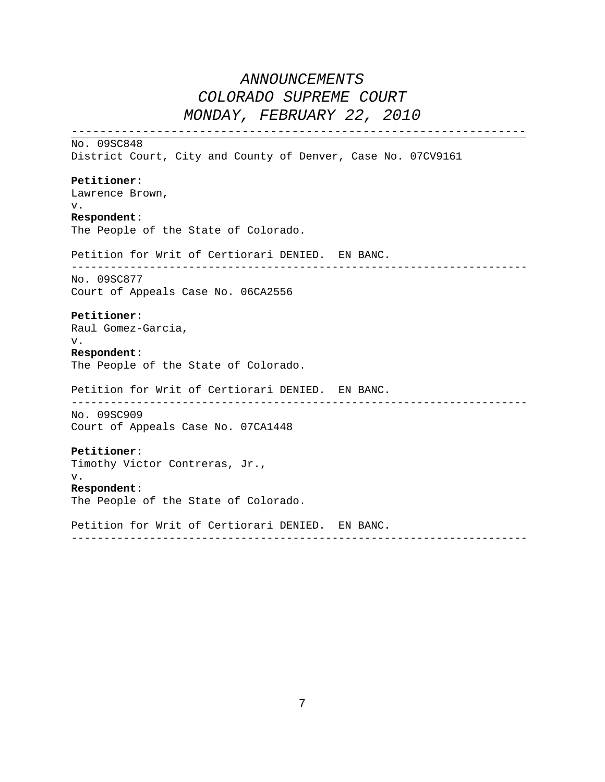---------------------------------------------------------------- No. 09SC848 District Court, City and County of Denver, Case No. 07CV9161 **Petitioner:**  Lawrence Brown, v. **Respondent:**  The People of the State of Colorado. Petition for Writ of Certiorari DENIED. EN BANC. ---------------------------------------------------------------------- No. 09SC877 Court of Appeals Case No. 06CA2556 **Petitioner:**  Raul Gomez-Garcia, v. **Respondent:**  The People of the State of Colorado. Petition for Writ of Certiorari DENIED. EN BANC. ---------------------------------------------------------------------- No. 09SC909 Court of Appeals Case No. 07CA1448 **Petitioner:** Timothy Victor Contreras, Jr., v. **Respondent:** The People of the State of Colorado. Petition for Writ of Certiorari DENIED. EN BANC. ----------------------------------------------------------------------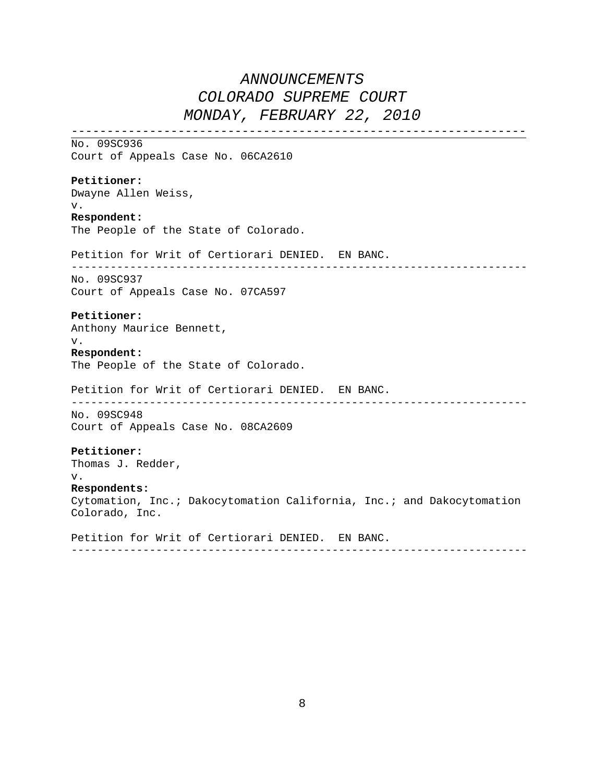---------------------------------------------------------------- No. 09SC936 Court of Appeals Case No. 06CA2610 **Petitioner:** Dwayne Allen Weiss, v. **Respondent:** The People of the State of Colorado. Petition for Writ of Certiorari DENIED. EN BANC. ---------------------------------------------------------------------- No. 09SC937 Court of Appeals Case No. 07CA597 **Petitioner:** Anthony Maurice Bennett, v. **Respondent:** The People of the State of Colorado. Petition for Writ of Certiorari DENIED. EN BANC. ---------------------------------------------------------------------- No. 09SC948 Court of Appeals Case No. 08CA2609 **Petitioner:** Thomas J. Redder, v. **Respondents:**  Cytomation, Inc.; Dakocytomation California, Inc.; and Dakocytomation Colorado, Inc. Petition for Writ of Certiorari DENIED. EN BANC.

8

----------------------------------------------------------------------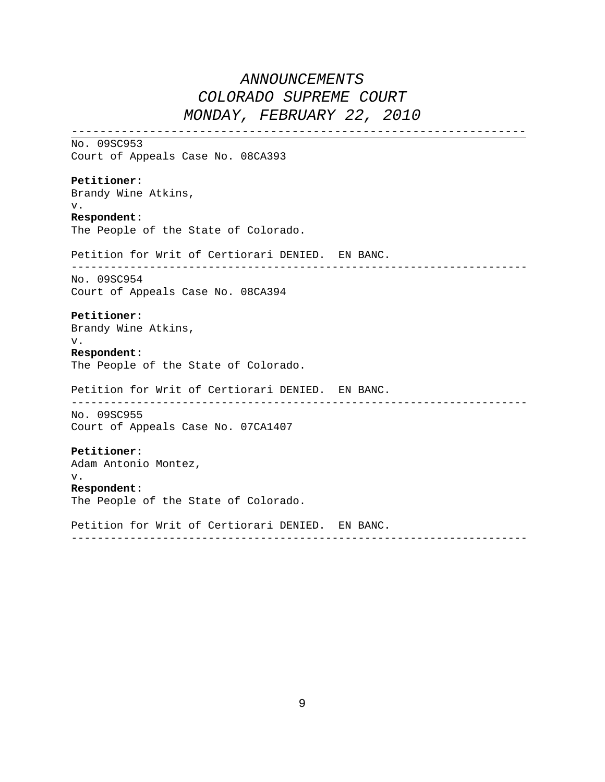---------------------------------------------------------------- No. 09SC953 Court of Appeals Case No. 08CA393 **Petitioner:** Brandy Wine Atkins, v. **Respondent:** The People of the State of Colorado. Petition for Writ of Certiorari DENIED. EN BANC. ---------------------------------------------------------------------- No. 09SC954 Court of Appeals Case No. 08CA394 **Petitioner:** Brandy Wine Atkins, v. **Respondent:** The People of the State of Colorado. Petition for Writ of Certiorari DENIED. EN BANC. ---------------------------------------------------------------------- No. 09SC955 Court of Appeals Case No. 07CA1407 **Petitioner:** Adam Antonio Montez, v. **Respondent:** The People of the State of Colorado. Petition for Writ of Certiorari DENIED. EN BANC. ----------------------------------------------------------------------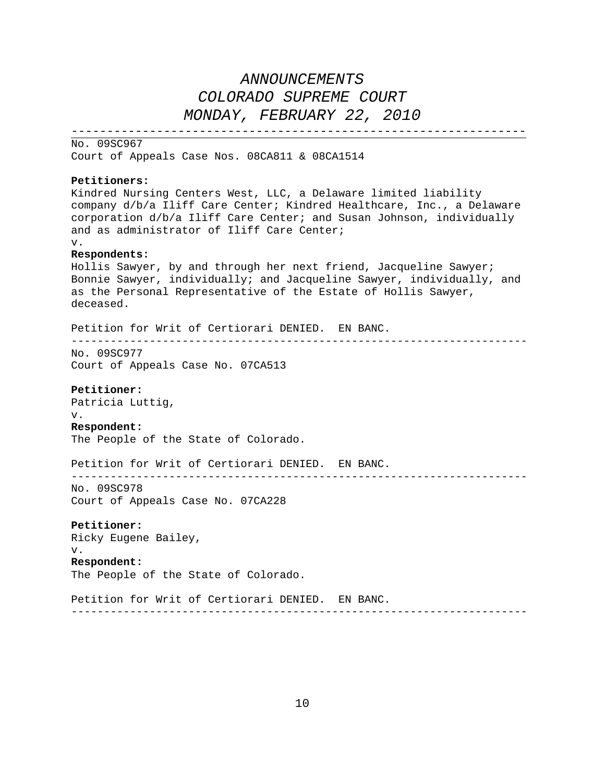---------------------------------------------------------------- No. 09SC967 Court of Appeals Case Nos. 08CA811 & 08CA1514

### **Petitioners:**

Kindred Nursing Centers West, LLC, a Delaware limited liability company d/b/a Iliff Care Center; Kindred Healthcare, Inc., a Delaware corporation d/b/a Iliff Care Center; and Susan Johnson, individually and as administrator of Iliff Care Center; v. **Respondents:**  Hollis Sawyer, by and through her next friend, Jacqueline Sawyer; Bonnie Sawyer, individually; and Jacqueline Sawyer, individually, and as the Personal Representative of the Estate of Hollis Sawyer, deceased. Petition for Writ of Certiorari DENIED. EN BANC. ---------------------------------------------------------------------- No. 09SC977 Court of Appeals Case No. 07CA513 **Petitioner:** Patricia Luttig, v. **Respondent:** The People of the State of Colorado. Petition for Writ of Certiorari DENIED. EN BANC. ---------------------------------------------------------------------- No. 09SC978 Court of Appeals Case No. 07CA228 **Petitioner:** Ricky Eugene Bailey, v. **Respondent:** The People of the State of Colorado. Petition for Writ of Certiorari DENIED. EN BANC. ----------------------------------------------------------------------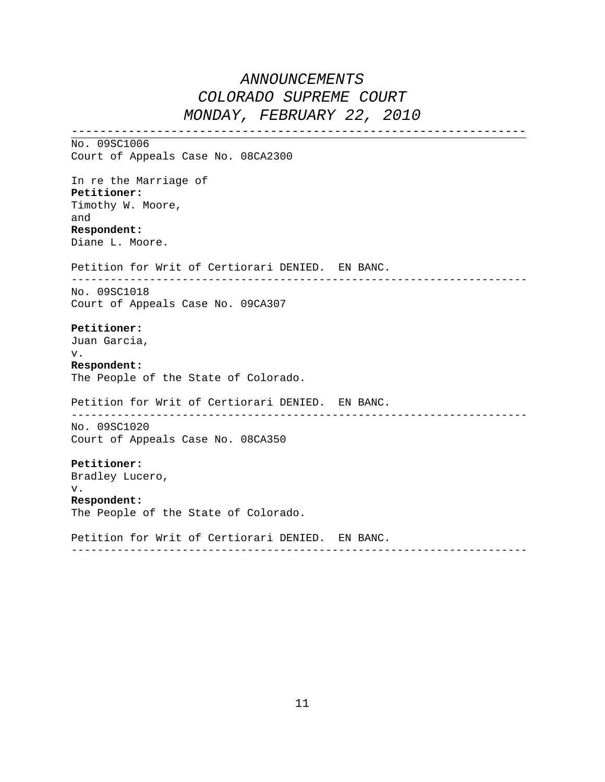---------------------------------------------------------------- No. 09SC1006 Court of Appeals Case No. 08CA2300 In re the Marriage of **Petitioner:** Timothy W. Moore, and **Respondent:** Diane L. Moore. Petition for Writ of Certiorari DENIED. EN BANC. ---------------------------------------------------------------------- No. 09SC1018 Court of Appeals Case No. 09CA307 **Petitioner:** Juan Garcia, v. **Respondent:** The People of the State of Colorado. Petition for Writ of Certiorari DENIED. EN BANC. ---------------------------------------------------------------------- No. 09SC1020 Court of Appeals Case No. 08CA350 **Petitioner:** Bradley Lucero, v. **Respondent:** The People of the State of Colorado. Petition for Writ of Certiorari DENIED. EN BANC. ----------------------------------------------------------------------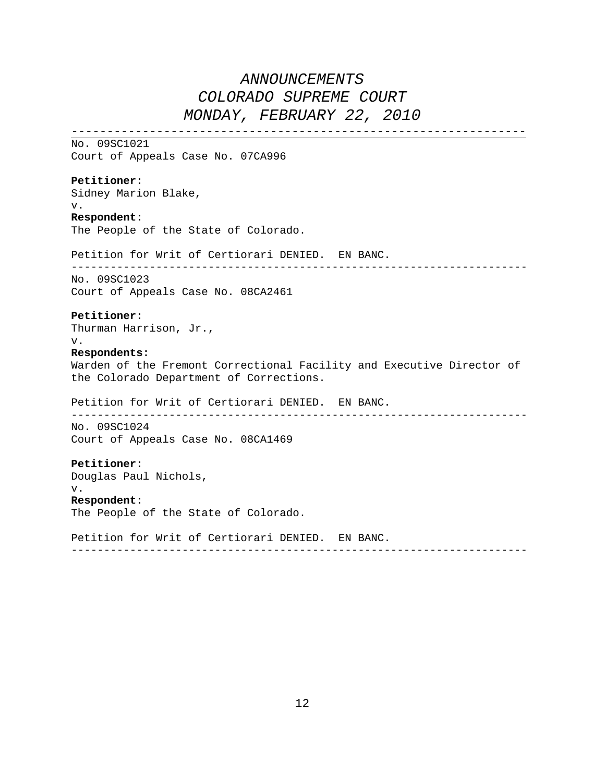---------------------------------------------------------------- No. 09SC1021 Court of Appeals Case No. 07CA996 **Petitioner:** Sidney Marion Blake, v. **Respondent:** The People of the State of Colorado. Petition for Writ of Certiorari DENIED. EN BANC. ---------------------------------------------------------------------- No. 09SC1023 Court of Appeals Case No. 08CA2461 **Petitioner:** Thurman Harrison, Jr., v. **Respondents:** Warden of the Fremont Correctional Facility and Executive Director of the Colorado Department of Corrections. Petition for Writ of Certiorari DENIED. EN BANC. ---------------------------------------------------------------------- No. 09SC1024 Court of Appeals Case No. 08CA1469 **Petitioner:** Douglas Paul Nichols, v. **Respondent:** The People of the State of Colorado. Petition for Writ of Certiorari DENIED. EN BANC. ----------------------------------------------------------------------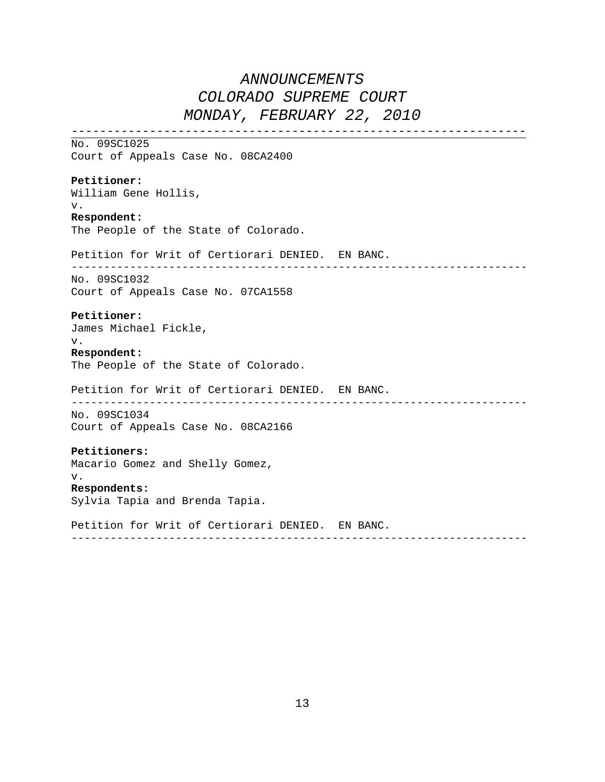---------------------------------------------------------------- No. 09SC1025 Court of Appeals Case No. 08CA2400 **Petitioner:** William Gene Hollis, v. **Respondent:** The People of the State of Colorado. Petition for Writ of Certiorari DENIED. EN BANC. ---------------------------------------------------------------------- No. 09SC1032 Court of Appeals Case No. 07CA1558 **Petitioner:** James Michael Fickle, v. **Respondent:** The People of the State of Colorado. Petition for Writ of Certiorari DENIED. EN BANC. ---------------------------------------------------------------------- No. 09SC1034 Court of Appeals Case No. 08CA2166 **Petitioners:** Macario Gomez and Shelly Gomez, v. **Respondents:** Sylvia Tapia and Brenda Tapia. Petition for Writ of Certiorari DENIED. EN BANC. ----------------------------------------------------------------------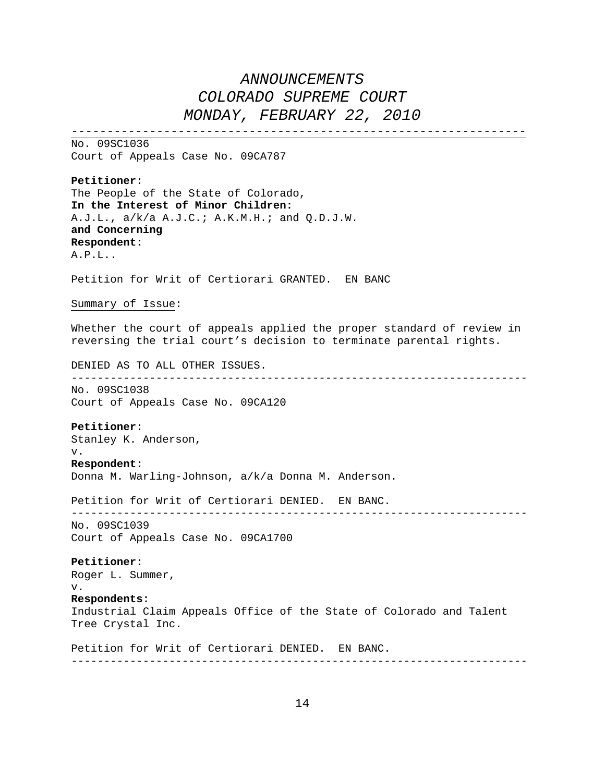----------------------------------------------------------------

No. 09SC1036 Court of Appeals Case No. 09CA787

**Petitioner:**  The People of the State of Colorado , **In the Interest of Minor Children:**  A.J.L., a/k/a A .J.C.; A.K.M.H.; and Q.D.J.W. **and Concerning Respondent:**  A.P.L..

Petition for Writ of Certiorari GRANTED. EN BANC

Summary of Issue:

Whether the court of appeals applied the proper standard of review in reversing the trial court's decision to terminate parental rights.

DENIED AS TO ALL OTHER ISSUES.

---------------------------------------------------------------------- No. 09SC1038

Court of Appeals Case No. 09CA120

### **Petitioner:**

Stanley K. Anderson,

#### v. **Respondent:**

Donna M. Warling-Johnson, a/k/a Donna M. Anderson.

Petition for Writ of Certiorari DENIED. EN BANC.

---------------------------------------------------------------------- No. 09SC1039 Court of Appeals Case No. 09CA1700

#### **Petitioner:**

Roger L. Summer, v. **Respondents:**

Industrial Claim Appeals Office of the State of Colorado and Talent Tree Crystal Inc.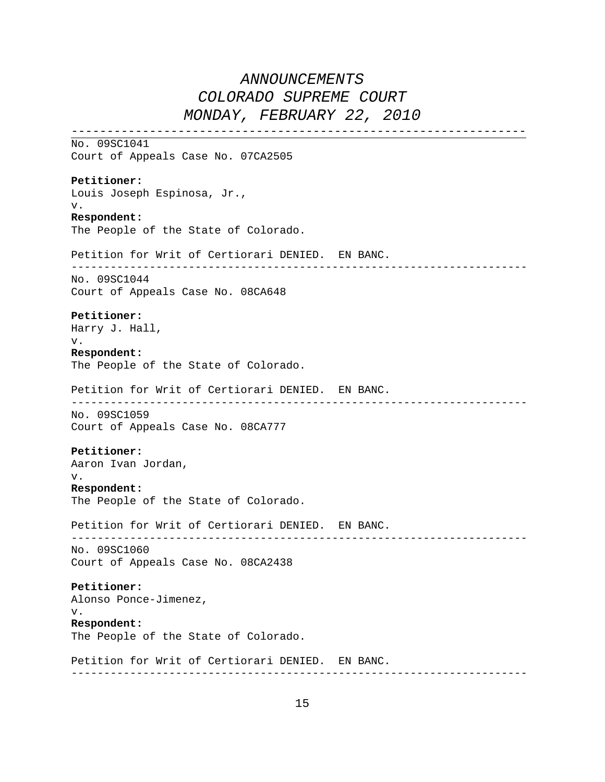---------------------------------------------------------------- No. 09SC1041 Court of Appeals Case No. 07CA2505 **Petitioner:** Louis Joseph Espinosa, Jr., v. **Respondent:** The People of the State of Colorado. Petition for Writ of Certiorari DENIED. EN BANC. ---------------------------------------------------------------------- No. 09SC1044 Court of Appeals Case No. 08CA648 **Petitioner:** Harry J. Hall, v. **Respondent:** The People of the State of Colorado. Petition for Writ of Certiorari DENIED. EN BANC. ---------------------------------------------------------------------- No. 09SC1059 Court of Appeals Case No. 08CA777 **Petitioner:** Aaron Ivan Jordan, v. **Respondent:** The People of the State of Colorado. Petition for Writ of Certiorari DENIED. EN BANC. ---------------------------------------------------------------------- No. 09SC1060 Court of Appeals Case No. 08CA2438 **Petitioner:** Alonso Ponce-Jimenez, v. **Respondent:** The People of the State of Colorado. Petition for Writ of Certiorari DENIED. EN BANC. ----------------------------------------------------------------------